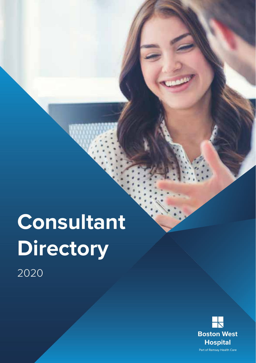# **Consultant Directory** 2020

**Boston West Hospital** Part of Ramsay Health Care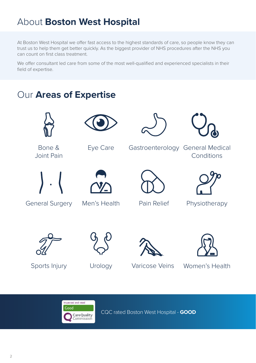### About **Boston West Hospital**

At Boston West Hospital we offer fast access to the highest standards of care, so people know they can trust us to help them get better quickly. As the biggest provider of NHS procedures after the NHS you can count on first class treatment.

We offer consultant led care from some of the most well-qualified and experienced specialists in their field of expertise.

### Our **Areas of Expertise**



Bone & Joint Pain



General Surgery



Eye Care



Men's Health





Gastroenterology General Medical **Conditions** 





Pain Relief Physiotherapy



Sports Injury



Urology Varicose Veins Women's Health

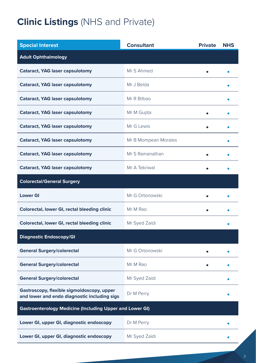### **Clinic Listings** (NHS and Private)

| <b>Special Interest</b>                                                                    | <b>Consultant</b>    | <b>Private</b> | <b>NHS</b> |
|--------------------------------------------------------------------------------------------|----------------------|----------------|------------|
| <b>Adult Ophthalmology</b>                                                                 |                      |                |            |
| Cataract, YAG laser capsulotomy                                                            | Mr S Ahmed           |                |            |
| <b>Cataract, YAG laser capsulotomy</b>                                                     | Mr J Belda           |                |            |
| <b>Cataract, YAG laser capsulotomy</b>                                                     | Mr R Bilbao          |                |            |
| <b>Cataract, YAG laser capsulotomy</b>                                                     | Mr M Gupta           |                |            |
| <b>Cataract, YAG laser capsulotomy</b>                                                     | Mr G Lewis           |                |            |
| Cataract, YAG laser capsulotomy                                                            | Mr B Mompean Morales |                |            |
| Cataract, YAG laser capsulotomy                                                            | Mr S Ramanathan      | $\bullet$      |            |
| <b>Cataract, YAG laser capsulotomy</b>                                                     | Mr A Tekriwal        |                |            |
| <b>Colorectal/General Surgery</b>                                                          |                      |                |            |
| <b>Lower GI</b>                                                                            | Mr G Ortonowski      |                |            |
| Colorectal, lower GI, rectal bleeding clinic                                               | Mr M Rao             |                |            |
| Colorectal, lower GI, rectal bleeding clinic                                               | Mr Syed Zaidi        |                |            |
| <b>Diagnostic Endoscopy/GI</b>                                                             |                      |                |            |
| <b>General Surgery/colorectal</b>                                                          | Mr G Ortonowski      |                |            |
| <b>General Surgery/colorectal</b>                                                          | Mr M Rao             |                |            |
| <b>General Surgery/colorectal</b>                                                          | Mr Syed Zaidi        |                |            |
| Gastroscopy, flexible sigmoidoscopy, upper<br>and lower and endo diagnostic including sigs | Dr M Perry           |                |            |
| <b>Gastroenterology Medicine (Including Upper and Lower GI)</b>                            |                      |                |            |
| Lower GI, upper GI, diagnostic endoscopy                                                   | Dr M Perry           |                |            |
| Lower GI, upper GI, diagnostic endoscopy                                                   | Mr Syed Zaidi        |                |            |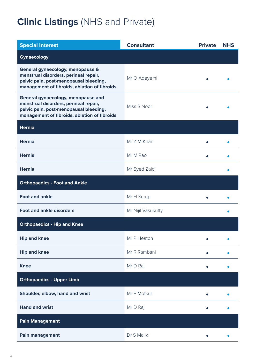### **Clinic Listings** (NHS and Private)

| <b>Special Interest</b>                                                                                                                                               | <b>Consultant</b>  | <b>Private</b> | <b>NHS</b> |
|-----------------------------------------------------------------------------------------------------------------------------------------------------------------------|--------------------|----------------|------------|
| Gynaecology                                                                                                                                                           |                    |                |            |
| General gynaecology, menopause &<br>menstrual disorders, perineal repair,<br>pelvic pain, post-menopausal bleeding,<br>management of fibroids, ablation of fibroids   | Mr O Adeyemi       |                |            |
| General gynaecology, menopause and<br>menstrual disorders, perineal repair,<br>pelvic pain, post-menopausal bleeding,<br>management of fibroids, ablation of fibroids | Miss S Noor        |                |            |
| <b>Hernia</b>                                                                                                                                                         |                    |                |            |
| <b>Hernia</b>                                                                                                                                                         | Mr Z M Khan        |                |            |
| <b>Hernia</b>                                                                                                                                                         | Mr M Rao           |                |            |
| <b>Hernia</b>                                                                                                                                                         | Mr Syed Zaidi      |                |            |
| <b>Orthopaedics - Foot and Ankle</b>                                                                                                                                  |                    |                |            |
| <b>Foot and ankle</b>                                                                                                                                                 | Mr H Kurup         |                |            |
| <b>Foot and ankle disorders</b>                                                                                                                                       | Mr Nijil Vasukutty |                |            |
| <b>Orthopaedics - Hip and Knee</b>                                                                                                                                    |                    |                |            |
| <b>Hip and knee</b>                                                                                                                                                   | Mr P Heaton        |                |            |
| Hip and knee                                                                                                                                                          | Mr R Rambani       |                |            |
| <b>Knee</b>                                                                                                                                                           | Mr D Raj           |                |            |
| <b>Orthopaedics - Upper Limb</b>                                                                                                                                      |                    |                |            |
| Shoulder, elbow, hand and wrist                                                                                                                                       | Mr P Motkur        |                |            |
| <b>Hand and wrist</b>                                                                                                                                                 | Mr D Raj           |                |            |
| <b>Pain Management</b>                                                                                                                                                |                    |                |            |
| Pain management                                                                                                                                                       | Dr S Malik         |                |            |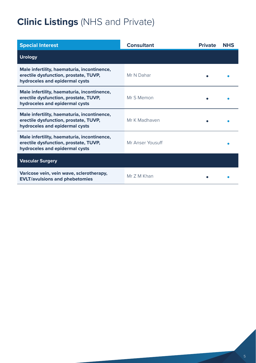### **Clinic Listings** (NHS and Private)

| <b>Special Interest</b>                                                                                                | <b>Consultant</b> | <b>Private</b> | <b>NHS</b> |
|------------------------------------------------------------------------------------------------------------------------|-------------------|----------------|------------|
| <b>Urology</b>                                                                                                         |                   |                |            |
| Male infertility, haematuria, incontinence,<br>erectile dysfunction, prostate, TUVP,<br>hydroceles and epidermal cysts | Mr N Dahar        |                |            |
| Male infertility, haematuria, incontinence,<br>erectile dysfunction, prostate, TUVP,<br>hydroceles and epidermal cysts | Mr S Memon        |                |            |
| Male infertility, haematuria, incontinence,<br>erectile dysfunction, prostate, TUVP,<br>hydroceles and epidermal cysts | Mr K Madhaven     |                |            |
| Male infertility, haematuria, incontinence,<br>erectile dysfunction, prostate, TUVP,<br>hydroceles and epidermal cysts | Mr Anser Yousuff  |                |            |
| <b>Vascular Surgery</b>                                                                                                |                   |                |            |
| Varicose vein, vein wave, sclerotherapy,<br><b>EVLT/avulsions and phebetomies</b>                                      | Mr 7 M Khan       |                |            |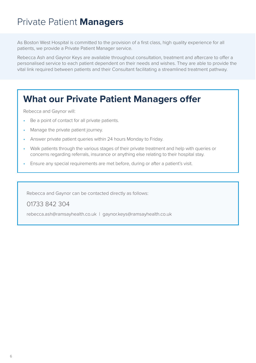### Private Patient **Managers**

As Boston West Hospital is committed to the provision of a first class, high quality experience for all patients, we provide a Private Patient Manager service.

Rebecca Ash and Gaynor Keys are available throughout consultation, treatment and aftercare to offer a personalised service to each patient dependent on their needs and wishes. They are able to provide the vital link required between patients and their Consultant facilitating a streamlined treatment pathway.

### **What our Private Patient Managers offer**

Rebecca and Gaynor will:

- Be a point of contact for all private patients.
- Manage the private patient journey.
- Answer private patient queries within 24 hours Monday to Friday.
- Walk patients through the various stages of their private treatment and help with queries or concerns regarding referrals, insurance or anything else relating to their hospital stay.
- Ensure any special requirements are met before, during or after a patient's visit.

Rebecca and Gaynor can be contacted directly as follows:

01733 842 304

rebecca.ash@ramsayhealth.co.uk | gaynor.keys@ramsayhealth.co.uk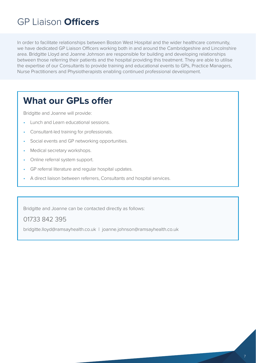### GP Liaison **Officers**

In order to facilitate relationships between Boston West Hospital and the wider healthcare community, we have dedicated GP Liaison Officers working both in and around the Cambridgeshire and Lincolnshire area. Bridgitte Lloyd and Joanne Johnson are responsible for building and developing relationships between those referring their patients and the hospital providing this treatment. They are able to utilise the expertise of our Consultants to provide training and educational events to GPs, Practice Managers, Nurse Practitioners and Physiotherapists enabling continued professional development.

### **What our GPLs offer**

Bridgitte and Joanne will provide:

- Lunch and Learn educational sessions.
- Consultant-led training for professionals.
- Social events and GP networking opportunities.
- Medical secretary workshops.
- Online referral system support.
- GP referral literature and regular hospital updates.
- A direct liaison between referrers, Consultants and hospital services.

Bridgitte and Joanne can be contacted directly as follows:

#### 01733 842 395

bridgitte.lloyd@ramsayhealth.co.uk | joanne.johnson@ramsayhealth.co.uk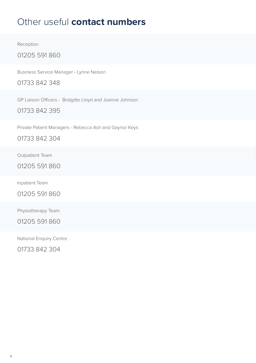### Other useful **contact numbers**

Reception

01205 591 860

Business Service Manager - Lynne Nelson

01733 842 348

GP Liaison Officers - Bridgitte Lloyd and Joanne Johnson

01733 842 395

Private Patient Managers - Rebecca Ash and Gaynor Keys

01733 842 304

Outpatient Team

01205 591 860

Inpatient Team

01205 591 860

Physiotherapy Team

01205 591 860

National Enquiry Centre

01733 842 304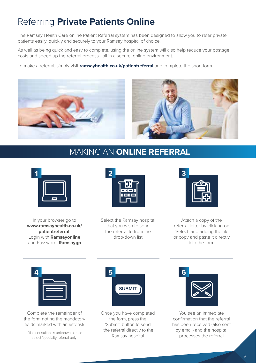### Referring **Private Patients Online**

The Ramsay Health Care online Patient Referral system has been designed to allow you to refer private patients easily, quickly and securely to your Ramsay hospital of choice.

As well as being quick and easy to complete, using the online system will also help reduce your postage costs and speed up the referral process - all in a secure, online environment.

To make a referral, simply visit **ramsayhealth.co.uk/patientreferral** and complete the short form.





### MAKING AN **ONLINE REFERRAL**



In your browser go to **www.ramsayhealth.co.uk/ patientreferral**. Login with **Ramsayonline** and Password: **Ramsaygp**



Select the Ramsay hospital that you wish to send the referral to from the drop-down list



Attach a copy of the referral letter by clicking on 'Select' and adding the file or copy and paste it directly into the form



Complete the remainder of the form noting the mandatory fields marked with an asterisk

If the consultant is unknown please select 'specialty referral only'



Once you have completed the form, press the 'Submit' button to send the referral directly to the Ramsay hospital



You see an immediate confirmation that the referral has been received (also sent by email) and the hospital processes the referral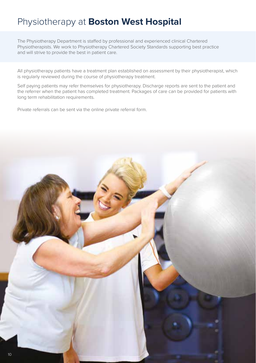### Physiotherapy at **Boston West Hospital**

The Physiotherapy Department is staffed by professional and experienced clinical Chartered Physiotherapists. We work to Physiotherapy Chartered Society Standards supporting best practice and will strive to provide the best in patient care.

All physiotherapy patients have a treatment plan established on assessment by their physiotherapist, which is regularly reviewed during the course of physiotherapy treatment.

Self paying patients may refer themselves for physiotherapy. Discharge reports are sent to the patient and the referrer when the patient has completed treatment. Packages of care can be provided for patients with long term rehabilitation requirements.

Private referrals can be sent via the online private referral form.

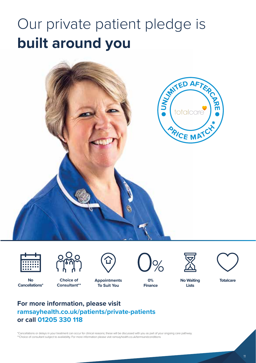## Our private patient pledge is **built around you.**





**Cancellations\***



**Choice of Consultant\*\***

**Appointments No Totalcare To Suit You**



**0% Finance**



**No Waiting Lists**

#### **For more information, please visit ramsayhealth.co.uk/patients/private-patients or call 01205 330 118**

\*Cancellations or delays in your treatment can occur for clinical reasons; these will be discussed with you as part of your ongoing care pathway. \*\*Choice of consultant subject to availability. For more information please visit ramsayhealth.co.uk/termsandconditions